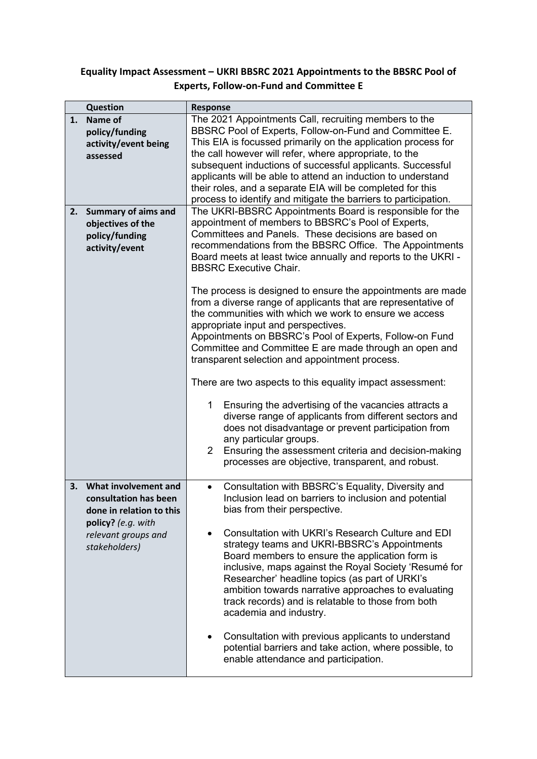## **Equality Impact Assessment – UKRI BBSRC 2021 Appointments to the BBSRC Pool of Experts, Follow-on-Fund and Committee E**

|    | <b>Question</b>                                                                                                                         | <b>Response</b>                                                                                                                                                                                                                                                                                                                                                                                                                                                                                                                                                                                                                                                                                                                                                                                                                                                                                                                                                                                                                                                                                                                                |  |  |  |
|----|-----------------------------------------------------------------------------------------------------------------------------------------|------------------------------------------------------------------------------------------------------------------------------------------------------------------------------------------------------------------------------------------------------------------------------------------------------------------------------------------------------------------------------------------------------------------------------------------------------------------------------------------------------------------------------------------------------------------------------------------------------------------------------------------------------------------------------------------------------------------------------------------------------------------------------------------------------------------------------------------------------------------------------------------------------------------------------------------------------------------------------------------------------------------------------------------------------------------------------------------------------------------------------------------------|--|--|--|
| 1. | Name of<br>policy/funding<br>activity/event being<br>assessed                                                                           | The 2021 Appointments Call, recruiting members to the<br>BBSRC Pool of Experts, Follow-on-Fund and Committee E.<br>This EIA is focussed primarily on the application process for<br>the call however will refer, where appropriate, to the<br>subsequent inductions of successful applicants. Successful<br>applicants will be able to attend an induction to understand<br>their roles, and a separate EIA will be completed for this<br>process to identify and mitigate the barriers to participation.                                                                                                                                                                                                                                                                                                                                                                                                                                                                                                                                                                                                                                      |  |  |  |
| 2. | <b>Summary of aims and</b><br>objectives of the<br>policy/funding<br>activity/event                                                     | The UKRI-BBSRC Appointments Board is responsible for the<br>appointment of members to BBSRC's Pool of Experts,<br>Committees and Panels. These decisions are based on<br>recommendations from the BBSRC Office. The Appointments<br>Board meets at least twice annually and reports to the UKRI -<br><b>BBSRC Executive Chair.</b><br>The process is designed to ensure the appointments are made<br>from a diverse range of applicants that are representative of<br>the communities with which we work to ensure we access<br>appropriate input and perspectives.<br>Appointments on BBSRC's Pool of Experts, Follow-on Fund<br>Committee and Committee E are made through an open and<br>transparent selection and appointment process.<br>There are two aspects to this equality impact assessment:<br>Ensuring the advertising of the vacancies attracts a<br>1<br>diverse range of applicants from different sectors and<br>does not disadvantage or prevent participation from<br>any particular groups.<br>Ensuring the assessment criteria and decision-making<br>$\overline{2}$<br>processes are objective, transparent, and robust. |  |  |  |
| 3. | What involvement and<br>consultation has been<br>done in relation to this<br>policy? (e.g. with<br>relevant groups and<br>stakeholders) | Consultation with BBSRC's Equality, Diversity and<br>$\bullet$<br>Inclusion lead on barriers to inclusion and potential<br>bias from their perspective.<br>Consultation with UKRI's Research Culture and EDI<br>strategy teams and UKRI-BBSRC's Appointments<br>Board members to ensure the application form is<br>inclusive, maps against the Royal Society 'Resumé for<br>Researcher' headline topics (as part of URKI's<br>ambition towards narrative approaches to evaluating<br>track records) and is relatable to those from both<br>academia and industry.<br>Consultation with previous applicants to understand<br>٠<br>potential barriers and take action, where possible, to<br>enable attendance and participation.                                                                                                                                                                                                                                                                                                                                                                                                                |  |  |  |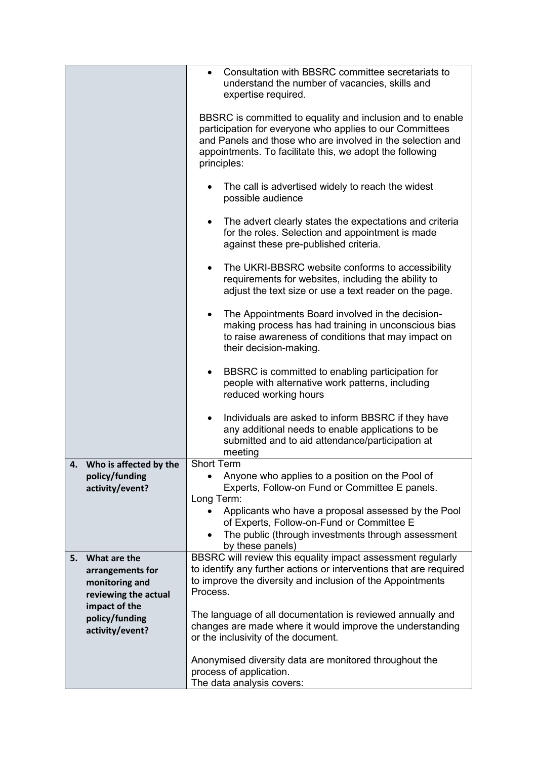|    |                                    | Consultation with BBSRC committee secretariats to<br>$\bullet$<br>understand the number of vacancies, skills and<br>expertise required.<br>BBSRC is committed to equality and inclusion and to enable<br>participation for everyone who applies to our Committees |  |  |
|----|------------------------------------|-------------------------------------------------------------------------------------------------------------------------------------------------------------------------------------------------------------------------------------------------------------------|--|--|
|    |                                    | and Panels and those who are involved in the selection and<br>appointments. To facilitate this, we adopt the following<br>principles:                                                                                                                             |  |  |
|    |                                    | The call is advertised widely to reach the widest<br>possible audience                                                                                                                                                                                            |  |  |
|    |                                    | The advert clearly states the expectations and criteria<br>for the roles. Selection and appointment is made<br>against these pre-published criteria.                                                                                                              |  |  |
|    |                                    | The UKRI-BBSRC website conforms to accessibility<br>requirements for websites, including the ability to<br>adjust the text size or use a text reader on the page.                                                                                                 |  |  |
|    |                                    | The Appointments Board involved in the decision-<br>٠<br>making process has had training in unconscious bias<br>to raise awareness of conditions that may impact on<br>their decision-making.                                                                     |  |  |
|    |                                    | BBSRC is committed to enabling participation for<br>٠<br>people with alternative work patterns, including<br>reduced working hours                                                                                                                                |  |  |
|    |                                    | Individuals are asked to inform BBSRC if they have<br>any additional needs to enable applications to be<br>submitted and to aid attendance/participation at<br>meeting                                                                                            |  |  |
| 4. | Who is affected by the             | <b>Short Term</b>                                                                                                                                                                                                                                                 |  |  |
|    | policy/funding<br>activity/event?  | Anyone who applies to a position on the Pool of<br>Experts, Follow-on Fund or Committee E panels.                                                                                                                                                                 |  |  |
|    |                                    | Long Term:                                                                                                                                                                                                                                                        |  |  |
|    |                                    | Applicants who have a proposal assessed by the Pool                                                                                                                                                                                                               |  |  |
|    |                                    | of Experts, Follow-on-Fund or Committee E<br>The public (through investments through assessment                                                                                                                                                                   |  |  |
|    |                                    | by these panels)                                                                                                                                                                                                                                                  |  |  |
| 5. | What are the                       | BBSRC will review this equality impact assessment regularly<br>to identify any further actions or interventions that are required                                                                                                                                 |  |  |
|    | arrangements for<br>monitoring and | to improve the diversity and inclusion of the Appointments                                                                                                                                                                                                        |  |  |
|    | reviewing the actual               | Process.                                                                                                                                                                                                                                                          |  |  |
|    | impact of the                      | The language of all documentation is reviewed annually and                                                                                                                                                                                                        |  |  |
|    | policy/funding<br>activity/event?  | changes are made where it would improve the understanding<br>or the inclusivity of the document.                                                                                                                                                                  |  |  |
|    |                                    | Anonymised diversity data are monitored throughout the<br>process of application.                                                                                                                                                                                 |  |  |
|    |                                    | The data analysis covers:                                                                                                                                                                                                                                         |  |  |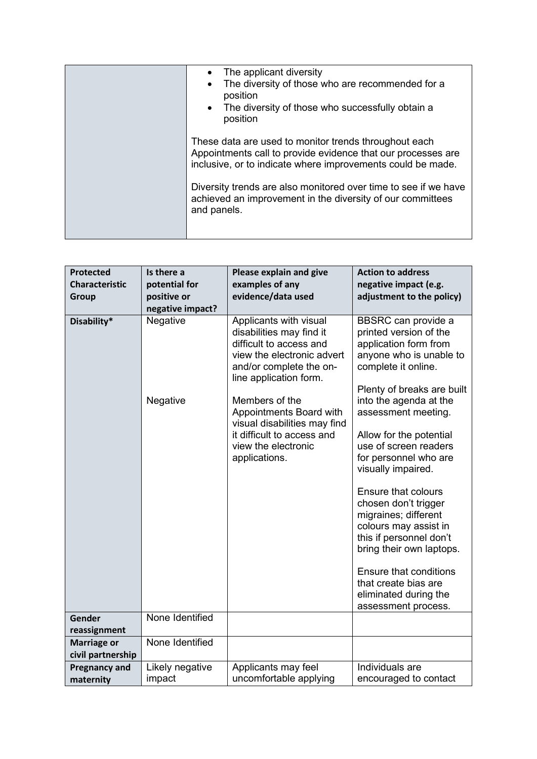| The applicant diversity<br>The diversity of those who are recommended for a<br>position<br>The diversity of those who successfully obtain a<br>$\bullet$<br>position                 |
|--------------------------------------------------------------------------------------------------------------------------------------------------------------------------------------|
| These data are used to monitor trends throughout each<br>Appointments call to provide evidence that our processes are<br>inclusive, or to indicate where improvements could be made. |
| Diversity trends are also monitored over time to see if we have<br>achieved an improvement in the diversity of our committees<br>and panels.                                         |

| <b>Protected</b>                        | Is there a       | Please explain and give                                                                                                                                          | <b>Action to address</b>                                                                                                                                      |
|-----------------------------------------|------------------|------------------------------------------------------------------------------------------------------------------------------------------------------------------|---------------------------------------------------------------------------------------------------------------------------------------------------------------|
| <b>Characteristic</b>                   | potential for    | examples of any                                                                                                                                                  | negative impact (e.g.                                                                                                                                         |
| <b>Group</b>                            | positive or      | evidence/data used                                                                                                                                               | adjustment to the policy)                                                                                                                                     |
|                                         | negative impact? |                                                                                                                                                                  |                                                                                                                                                               |
| Disability*                             | Negative         | Applicants with visual<br>disabilities may find it<br>difficult to access and<br>view the electronic advert<br>and/or complete the on-<br>line application form. | <b>BBSRC</b> can provide a<br>printed version of the<br>application form from<br>anyone who is unable to<br>complete it online.<br>Plenty of breaks are built |
|                                         | Negative         | Members of the<br>Appointments Board with<br>visual disabilities may find                                                                                        | into the agenda at the<br>assessment meeting.                                                                                                                 |
|                                         |                  | it difficult to access and<br>view the electronic<br>applications.                                                                                               | Allow for the potential<br>use of screen readers<br>for personnel who are<br>visually impaired.                                                               |
|                                         |                  |                                                                                                                                                                  | Ensure that colours<br>chosen don't trigger<br>migraines; different<br>colours may assist in<br>this if personnel don't<br>bring their own laptops.           |
|                                         |                  |                                                                                                                                                                  | <b>Ensure that conditions</b><br>that create bias are<br>eliminated during the<br>assessment process.                                                         |
| Gender<br>reassignment                  | None Identified  |                                                                                                                                                                  |                                                                                                                                                               |
| <b>Marriage or</b><br>civil partnership | None Identified  |                                                                                                                                                                  |                                                                                                                                                               |
| <b>Pregnancy and</b>                    | Likely negative  | Applicants may feel                                                                                                                                              | Individuals are                                                                                                                                               |
| maternity                               | impact           | uncomfortable applying                                                                                                                                           | encouraged to contact                                                                                                                                         |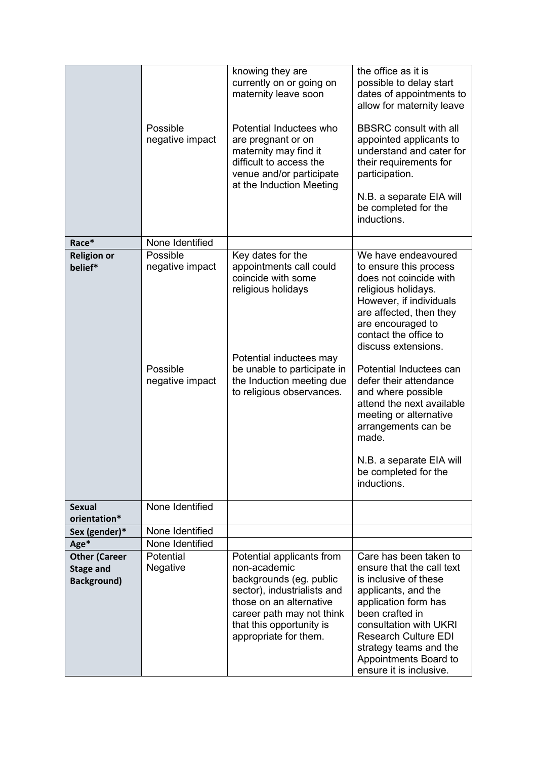|                                                                                             | Possible<br>negative impact | knowing they are<br>currently on or going on<br>maternity leave soon<br>Potential Inductees who<br>are pregnant or on<br>maternity may find it<br>difficult to access the<br>venue and/or participate<br>at the Induction Meeting | the office as it is<br>possible to delay start<br>dates of appointments to<br>allow for maternity leave<br><b>BBSRC</b> consult with all<br>appointed applicants to<br>understand and cater for<br>their requirements for<br>participation.<br>N.B. a separate EIA will<br>be completed for the<br>inductions.                                                                                                                                                 |
|---------------------------------------------------------------------------------------------|-----------------------------|-----------------------------------------------------------------------------------------------------------------------------------------------------------------------------------------------------------------------------------|----------------------------------------------------------------------------------------------------------------------------------------------------------------------------------------------------------------------------------------------------------------------------------------------------------------------------------------------------------------------------------------------------------------------------------------------------------------|
| Race*                                                                                       | None Identified             |                                                                                                                                                                                                                                   |                                                                                                                                                                                                                                                                                                                                                                                                                                                                |
| Possible<br><b>Religion or</b><br>negative impact<br>belief*<br>Possible<br>negative impact |                             | Key dates for the<br>appointments call could<br>coincide with some<br>religious holidays<br>Potential inductees may<br>be unable to participate in<br>the Induction meeting due<br>to religious observances.                      | We have endeavoured<br>to ensure this process<br>does not coincide with<br>religious holidays.<br>However, if individuals<br>are affected, then they<br>are encouraged to<br>contact the office to<br>discuss extensions.<br>Potential Inductees can<br>defer their attendance<br>and where possible<br>attend the next available<br>meeting or alternative<br>arrangements can be<br>made.<br>N.B. a separate EIA will<br>be completed for the<br>inductions. |
| <b>Sexual</b><br>orientation*                                                               | None Identified             |                                                                                                                                                                                                                                   |                                                                                                                                                                                                                                                                                                                                                                                                                                                                |
| Sex (gender)*                                                                               | None Identified             |                                                                                                                                                                                                                                   |                                                                                                                                                                                                                                                                                                                                                                                                                                                                |
| Age*                                                                                        | None Identified             |                                                                                                                                                                                                                                   |                                                                                                                                                                                                                                                                                                                                                                                                                                                                |
| <b>Other (Career</b>                                                                        | Potential                   | Potential applicants from                                                                                                                                                                                                         | Care has been taken to                                                                                                                                                                                                                                                                                                                                                                                                                                         |
| <b>Stage and</b><br><b>Background)</b>                                                      | Negative                    | non-academic<br>backgrounds (eg. public<br>sector), industrialists and<br>those on an alternative<br>career path may not think<br>that this opportunity is<br>appropriate for them.                                               | ensure that the call text<br>is inclusive of these<br>applicants, and the<br>application form has<br>been crafted in<br>consultation with UKRI<br><b>Research Culture EDI</b><br>strategy teams and the<br>Appointments Board to<br>ensure it is inclusive.                                                                                                                                                                                                    |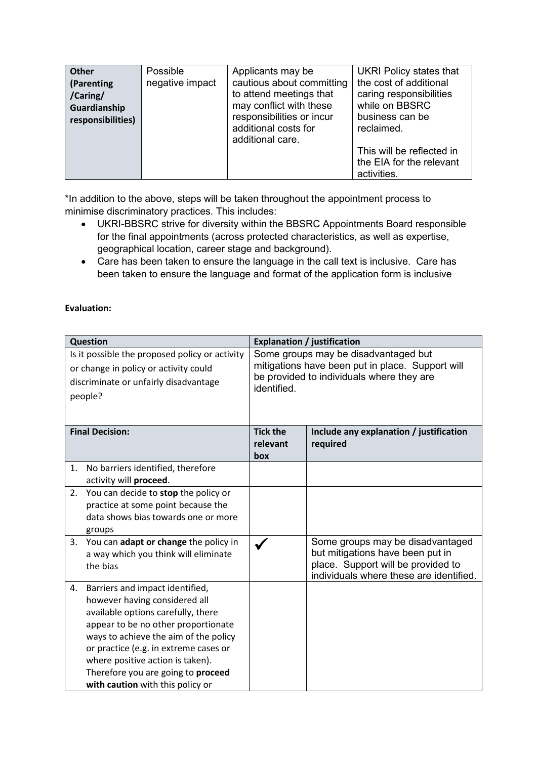| <b>Other</b><br>(Parenting<br>/Caring/<br>Guardianship<br>responsibilities) | Possible<br>negative impact | Applicants may be<br>cautious about committing<br>to attend meetings that<br>may conflict with these<br>responsibilities or incur<br>additional costs for | <b>UKRI Policy states that</b><br>the cost of additional<br>caring responsibilities<br>while on BBSRC<br>business can be<br>reclaimed. |
|-----------------------------------------------------------------------------|-----------------------------|-----------------------------------------------------------------------------------------------------------------------------------------------------------|----------------------------------------------------------------------------------------------------------------------------------------|
|                                                                             |                             | additional care.                                                                                                                                          | This will be reflected in<br>the EIA for the relevant<br>activities.                                                                   |

\*In addition to the above, steps will be taken throughout the appointment process to minimise discriminatory practices. This includes:

- UKRI-BBSRC strive for diversity within the BBSRC Appointments Board responsible for the final appointments (across protected characteristics, as well as expertise, geographical location, career stage and background).
- Care has been taken to ensure the language in the call text is inclusive. Care has been taken to ensure the language and format of the application form is inclusive

## **Evaluation:**

| Question                                                                                                                                                                                                                                                                                                                                            | <b>Explanation / justification</b>                                                                                                                   |                                                                                                                                                       |
|-----------------------------------------------------------------------------------------------------------------------------------------------------------------------------------------------------------------------------------------------------------------------------------------------------------------------------------------------------|------------------------------------------------------------------------------------------------------------------------------------------------------|-------------------------------------------------------------------------------------------------------------------------------------------------------|
| Is it possible the proposed policy or activity<br>or change in policy or activity could<br>discriminate or unfairly disadvantage<br>people?                                                                                                                                                                                                         | Some groups may be disadvantaged but<br>mitigations have been put in place. Support will<br>be provided to individuals where they are<br>identified. |                                                                                                                                                       |
| <b>Final Decision:</b>                                                                                                                                                                                                                                                                                                                              | <b>Tick the</b><br>relevant<br>box                                                                                                                   | Include any explanation / justification<br>required                                                                                                   |
| No barriers identified, therefore<br>1.<br>activity will proceed.                                                                                                                                                                                                                                                                                   |                                                                                                                                                      |                                                                                                                                                       |
| You can decide to stop the policy or<br>2.<br>practice at some point because the<br>data shows bias towards one or more<br>groups                                                                                                                                                                                                                   |                                                                                                                                                      |                                                                                                                                                       |
| 3. You can adapt or change the policy in<br>a way which you think will eliminate<br>the bias                                                                                                                                                                                                                                                        |                                                                                                                                                      | Some groups may be disadvantaged<br>but mitigations have been put in<br>place. Support will be provided to<br>individuals where these are identified. |
| Barriers and impact identified,<br>4.<br>however having considered all<br>available options carefully, there<br>appear to be no other proportionate<br>ways to achieve the aim of the policy<br>or practice (e.g. in extreme cases or<br>where positive action is taken).<br>Therefore you are going to proceed<br>with caution with this policy or |                                                                                                                                                      |                                                                                                                                                       |